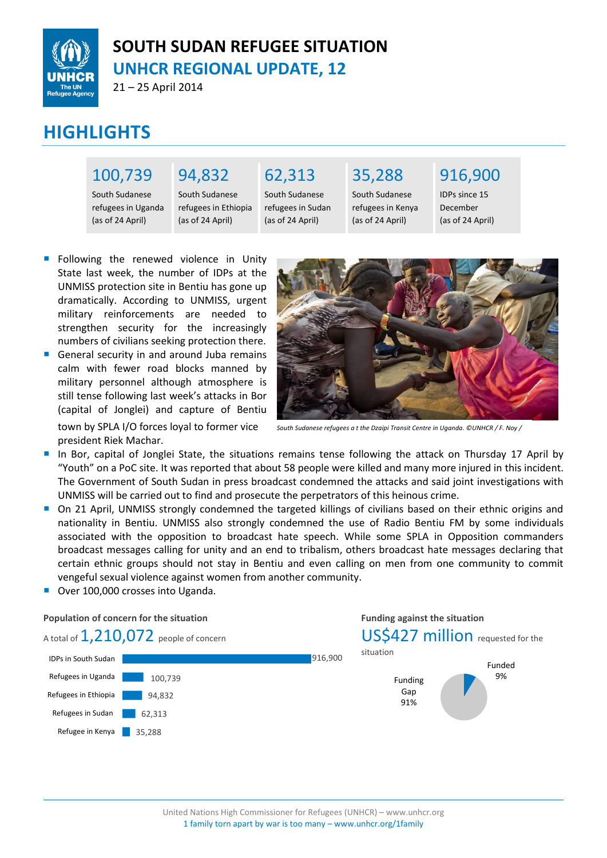

## **SOUTH SUDAN REFUGEE SITUATION UNHCR REGIONAL UPDATE, 12**

21 – 25 April 2014

# **HIGHLIGHTS**

## 100,739

## 94,832

South Sudanese refugees in Uganda (as of 24 April)

South Sudanese refugees in Ethiopia (as of 24 April)

#### 62,313 South Sudanese refugees in Sudan (as of 24 April)

35,288

South Sudanese refugees in Kenya (as of 24 April)

## 916,900

IDPs since 15 December (as of 24 April)

- Following the renewed violence in Unity State last week, the number of IDPs at the UNMISS protection site in Bentiu has gone up dramatically. According to UNMISS, urgent military reinforcements are needed to strengthen security for the increasingly numbers of civilians seeking protection there.
- General security in and around Juba remains calm with fewer road blocks manned by military personnel although atmosphere is still tense following last week's attacks in Bor (capital of Jonglei) and capture of Bentiu town by SPLA I/O forces loyal to former vice president Riek Machar.



*South Sudanese refugees a t the Dzaipi Transit Centre in Uganda. ©UNHCR / F. Noy /* 

**Funding against the situation**

- In Bor, capital of Jonglei State, the situations remains tense following the attack on Thursday 17 April by "Youth" on a PoC site. It was reported that about 58 people were killed and many more injured in this incident. The Government of South Sudan in press broadcast condemned the attacks and said joint investigations with UNMISS will be carried out to find and prosecute the perpetrators of this heinous crime.
- On 21 April, UNMISS strongly condemned the targeted killings of civilians based on their ethnic origins and nationality in Bentiu. UNMISS also strongly condemned the use of Radio Bentiu FM by some individuals associated with the opposition to broadcast hate speech. While some SPLA in Opposition commanders broadcast messages calling for unity and an end to tribalism, others broadcast hate messages declaring that certain ethnic groups should not stay in Bentiu and even calling on men from one community to commit vengeful sexual violence against women from another community.
- Over 100,000 crosses into Uganda.

#### **Population of concern for the situation**

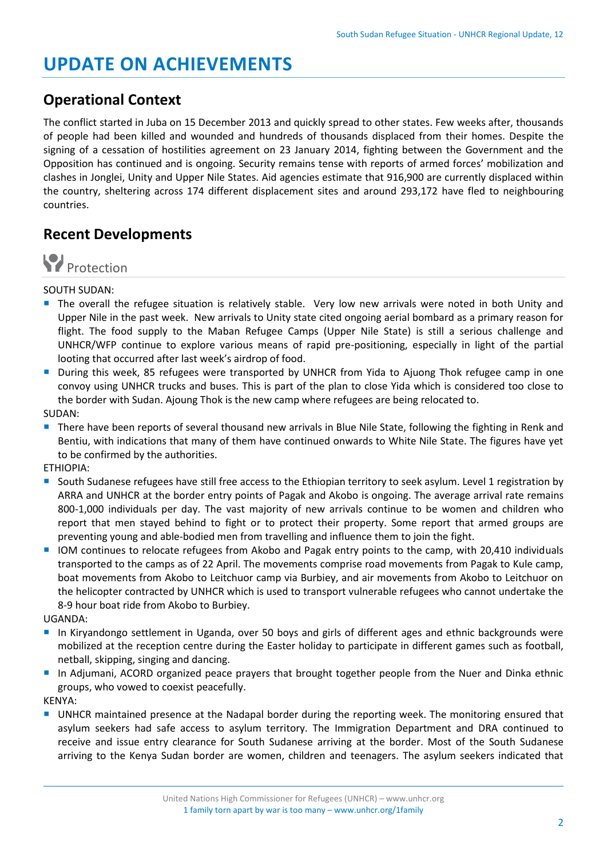# **UPDATE ON ACHIEVEMENTS**

### **Operational Context**

The conflict started in Juba on 15 December 2013 and quickly spread to other states. Few weeks after, thousands of people had been killed and wounded and hundreds of thousands displaced from their homes. Despite the signing of a cessation of hostilities agreement on 23 January 2014, fighting between the Government and the Opposition has continued and is ongoing. Security remains tense with reports of armed forces' mobilization and clashes in Jonglei, Unity and Upper Nile States. Aid agencies estimate that 916,900 are currently displaced within the country, sheltering across 174 different displacement sites and around 293,172 have fled to neighbouring countries.

### **Recent Developments**



#### SOUTH SUDAN:

- The overall the refugee situation is relatively stable. Very low new arrivals were noted in both Unity and Upper Nile in the past week. New arrivals to Unity state cited ongoing aerial bombard as a primary reason for flight. The food supply to the Maban Refugee Camps (Upper Nile State) is still a serious challenge and UNHCR/WFP continue to explore various means of rapid pre-positioning, especially in light of the partial looting that occurred after last week's airdrop of food.
- During this week, 85 refugees were transported by UNHCR from Yida to Ajuong Thok refugee camp in one convoy using UNHCR trucks and buses. This is part of the plan to close Yida which is considered too close to the border with Sudan. Ajoung Thok is the new camp where refugees are being relocated to.
- SUDAN:
- **There have been reports of several thousand new arrivals in Blue Nile State, following the fighting in Renk and** Bentiu, with indications that many of them have continued onwards to White Nile State. The figures have yet to be confirmed by the authorities.

ETHIOPIA:

- **South Sudanese refugees have still free access to the Ethiopian territory to seek asylum. Level 1 registration by** ARRA and UNHCR at the border entry points of Pagak and Akobo is ongoing. The average arrival rate remains 800-1,000 individuals per day. The vast majority of new arrivals continue to be women and children who report that men stayed behind to fight or to protect their property. Some report that armed groups are preventing young and able-bodied men from travelling and influence them to join the fight.
- IOM continues to relocate refugees from Akobo and Pagak entry points to the camp, with 20,410 individuals transported to the camps as of 22 April. The movements comprise road movements from Pagak to Kule camp, boat movements from Akobo to Leitchuor camp via Burbiey, and air movements from Akobo to Leitchuor on the helicopter contracted by UNHCR which is used to transport vulnerable refugees who cannot undertake the 8-9 hour boat ride from Akobo to Burbiey.

UGANDA:

- In Kiryandongo settlement in Uganda, over 50 boys and girls of different ages and ethnic backgrounds were mobilized at the reception centre during the Easter holiday to participate in different games such as football, netball, skipping, singing and dancing.
- In Adjumani, ACORD organized peace prayers that brought together people from the Nuer and Dinka ethnic groups, who vowed to coexist peacefully.

KENYA:

**UNHCR** maintained presence at the Nadapal border during the reporting week. The monitoring ensured that asylum seekers had safe access to asylum territory. The Immigration Department and DRA continued to receive and issue entry clearance for South Sudanese arriving at the border. Most of the South Sudanese arriving to the Kenya Sudan border are women, children and teenagers. The asylum seekers indicated that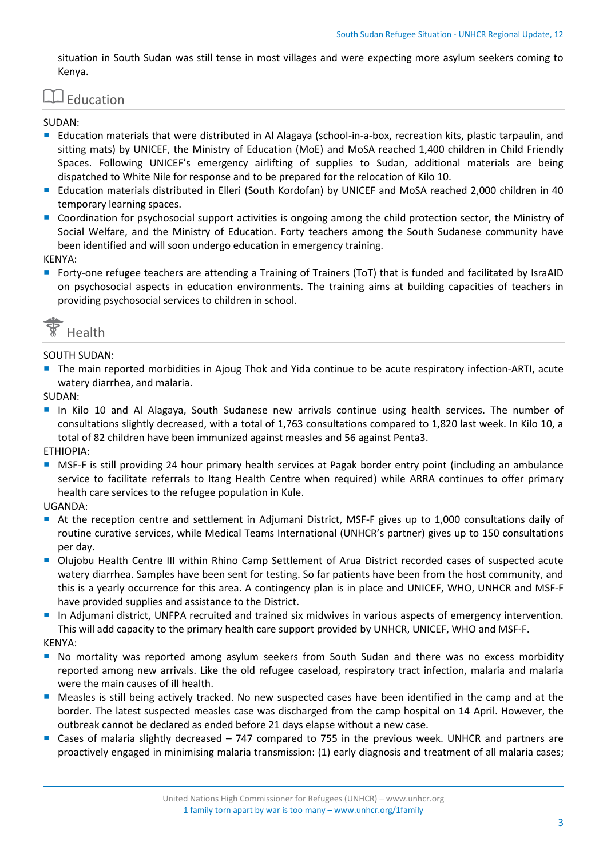situation in South Sudan was still tense in most villages and were expecting more asylum seekers coming to Kenya.

## Education

#### SUDAN:

- Education materials that were distributed in Al Alagaya (school-in-a-box, recreation kits, plastic tarpaulin, and sitting mats) by UNICEF, the Ministry of Education (MoE) and MoSA reached 1,400 children in Child Friendly Spaces. Following UNICEF's emergency airlifting of supplies to Sudan, additional materials are being dispatched to White Nile for response and to be prepared for the relocation of Kilo 10.
- Education materials distributed in Elleri (South Kordofan) by UNICEF and MoSA reached 2,000 children in 40 temporary learning spaces.
- **Coordination for psychosocial support activities is ongoing among the child protection sector, the Ministry of** Social Welfare, and the Ministry of Education. Forty teachers among the South Sudanese community have been identified and will soon undergo education in emergency training.

KENYA:

 Forty-one refugee teachers are attending a Training of Trainers (ToT) that is funded and facilitated by IsraAID on psychosocial aspects in education environments. The training aims at building capacities of teachers in providing psychosocial services to children in school.



#### SOUTH SUDAN:

The main reported morbidities in Ajoug Thok and Yida continue to be acute respiratory infection-ARTI, acute watery diarrhea, and malaria.

SUDAN:

 In Kilo 10 and Al Alagaya, South Sudanese new arrivals continue using health services. The number of consultations slightly decreased, with a total of 1,763 consultations compared to 1,820 last week. In Kilo 10, a total of 82 children have been immunized against measles and 56 against Penta3.

ETHIOPIA:

**MSF-F** is still providing 24 hour primary health services at Pagak border entry point (including an ambulance service to facilitate referrals to Itang Health Centre when required) while ARRA continues to offer primary health care services to the refugee population in Kule.

#### UGANDA:

- At the reception centre and settlement in Adjumani District, MSF-F gives up to 1,000 consultations daily of routine curative services, while Medical Teams International (UNHCR's partner) gives up to 150 consultations per day.
- Olujobu Health Centre III within Rhino Camp Settlement of Arua District recorded cases of suspected acute watery diarrhea. Samples have been sent for testing. So far patients have been from the host community, and this is a yearly occurrence for this area. A contingency plan is in place and UNICEF, WHO, UNHCR and MSF-F have provided supplies and assistance to the District.
- In Adjumani district, UNFPA recruited and trained six midwives in various aspects of emergency intervention. This will add capacity to the primary health care support provided by UNHCR, UNICEF, WHO and MSF-F.

KENYA:

- **No mortality was reported among asylum seekers from South Sudan and there was no excess morbidity** reported among new arrivals. Like the old refugee caseload, respiratory tract infection, malaria and malaria were the main causes of ill health.
- Measles is still being actively tracked. No new suspected cases have been identified in the camp and at the border. The latest suspected measles case was discharged from the camp hospital on 14 April. However, the outbreak cannot be declared as ended before 21 days elapse without a new case.
- Cases of malaria slightly decreased  $-747$  compared to 755 in the previous week. UNHCR and partners are proactively engaged in minimising malaria transmission: (1) early diagnosis and treatment of all malaria cases;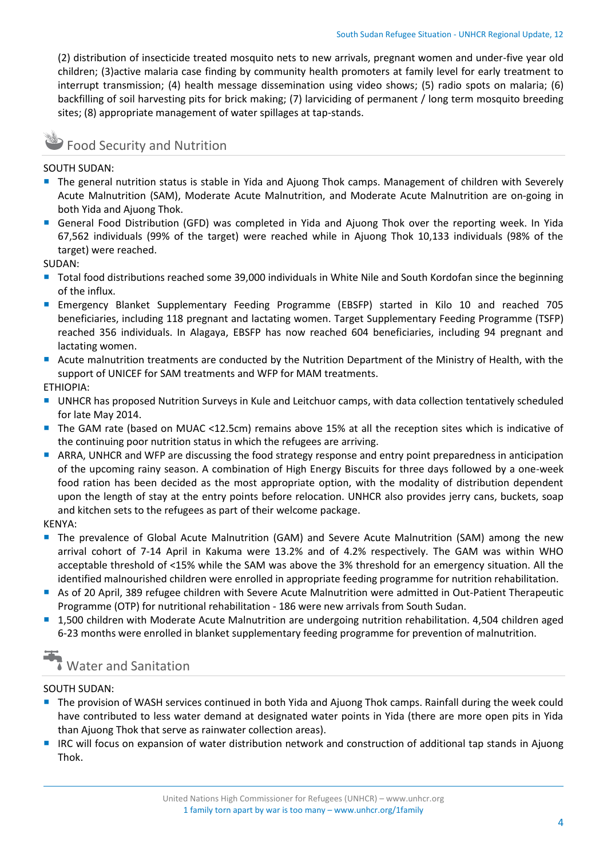(2) distribution of insecticide treated mosquito nets to new arrivals, pregnant women and under-five year old children; (3)active malaria case finding by community health promoters at family level for early treatment to interrupt transmission; (4) health message dissemination using video shows; (5) radio spots on malaria; (6) backfilling of soil harvesting pits for brick making; (7) larviciding of permanent / long term mosquito breeding sites; (8) appropriate management of water spillages at tap-stands.

## Food Security and Nutrition

SOUTH SUDAN:

- **The general nutrition status is stable in Yida and Ajuong Thok camps. Management of children with Severely** Acute Malnutrition (SAM), Moderate Acute Malnutrition, and Moderate Acute Malnutrition are on-going in both Yida and Ajuong Thok.
- General Food Distribution (GFD) was completed in Yida and Ajuong Thok over the reporting week. In Yida 67,562 individuals (99% of the target) were reached while in Ajuong Thok 10,133 individuals (98% of the target) were reached.

SUDAN:

- Total food distributions reached some 39,000 individuals in White Nile and South Kordofan since the beginning of the influx.
- Emergency Blanket Supplementary Feeding Programme (EBSFP) started in Kilo 10 and reached 705 beneficiaries, including 118 pregnant and lactating women. Target Supplementary Feeding Programme (TSFP) reached 356 individuals. In Alagaya, EBSFP has now reached 604 beneficiaries, including 94 pregnant and lactating women.
- Acute malnutrition treatments are conducted by the Nutrition Department of the Ministry of Health, with the support of UNICEF for SAM treatments and WFP for MAM treatments.

ETHIOPIA:

- UNHCR has proposed Nutrition Surveys in Kule and Leitchuor camps, with data collection tentatively scheduled for late May 2014.
- The GAM rate (based on MUAC <12.5cm) remains above 15% at all the reception sites which is indicative of the continuing poor nutrition status in which the refugees are arriving.
- ARRA, UNHCR and WFP are discussing the food strategy response and entry point preparedness in anticipation of the upcoming rainy season. A combination of High Energy Biscuits for three days followed by a one-week food ration has been decided as the most appropriate option, with the modality of distribution dependent upon the length of stay at the entry points before relocation. UNHCR also provides jerry cans, buckets, soap and kitchen sets to the refugees as part of their welcome package.

KENYA:

- **The prevalence of Global Acute Malnutrition (GAM) and Severe Acute Malnutrition (SAM) among the new** arrival cohort of 7-14 April in Kakuma were 13.2% and of 4.2% respectively. The GAM was within WHO acceptable threshold of <15% while the SAM was above the 3% threshold for an emergency situation. All the identified malnourished children were enrolled in appropriate feeding programme for nutrition rehabilitation.
- As of 20 April, 389 refugee children with Severe Acute Malnutrition were admitted in Out-Patient Therapeutic Programme (OTP) for nutritional rehabilitation - 186 were new arrivals from South Sudan.
- 1,500 children with Moderate Acute Malnutrition are undergoing nutrition rehabilitation. 4,504 children aged 6-23 months were enrolled in blanket supplementary feeding programme for prevention of malnutrition.

# Water and Sanitation

#### SOUTH SUDAN:

- **The provision of WASH services continued in both Yida and Ajuong Thok camps. Rainfall during the week could 4** have contributed to less water demand at designated water points in Yida (there are more open pits in Yida than Ajuong Thok that serve as rainwater collection areas).
- IRC will focus on expansion of water distribution network and construction of additional tap stands in Ajuong Thok.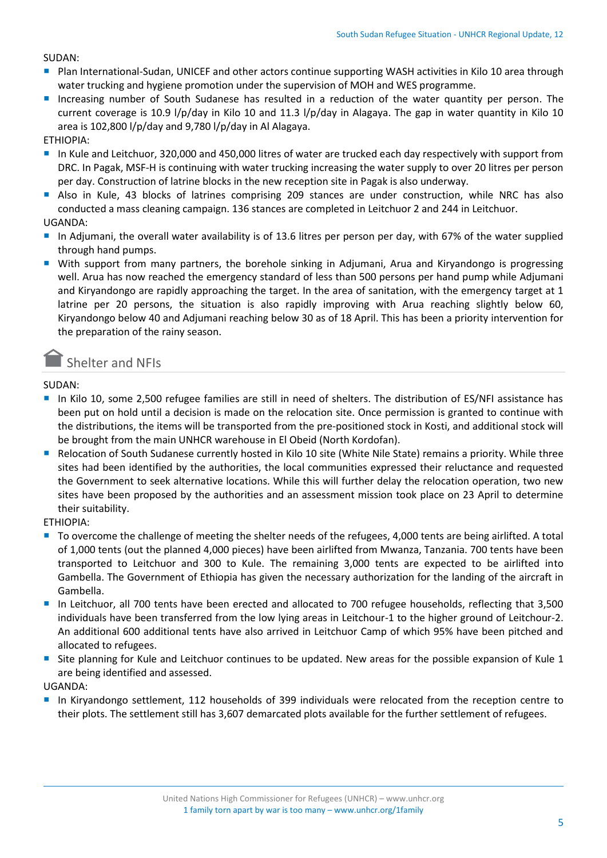SUDAN:

- **P** Plan International-Sudan, UNICEF and other actors continue supporting WASH activities in Kilo 10 area through water trucking and hygiene promotion under the supervision of MOH and WES programme.
- Increasing number of South Sudanese has resulted in a reduction of the water quantity per person. The current coverage is 10.9 l/p/day in Kilo 10 and 11.3 l/p/day in Alagaya. The gap in water quantity in Kilo 10 area is 102,800 l/p/day and 9,780 l/p/day in Al Alagaya.

ETHIOPIA:

- In Kule and Leitchuor, 320,000 and 450,000 litres of water are trucked each day respectively with support from DRC. In Pagak, MSF-H is continuing with water trucking increasing the water supply to over 20 litres per person per day. Construction of latrine blocks in the new reception site in Pagak is also underway.
- Also in Kule, 43 blocks of latrines comprising 209 stances are under construction, while NRC has also conducted a mass cleaning campaign. 136 stances are completed in Leitchuor 2 and 244 in Leitchuor.

UGANDA:

- In Adjumani, the overall water availability is of 13.6 litres per person per day, with 67% of the water supplied through hand pumps.
- **With support from many partners, the borehole sinking in Adjumani, Arua and Kiryandongo is progressing** well. Arua has now reached the emergency standard of less than 500 persons per hand pump while Adjumani and Kiryandongo are rapidly approaching the target. In the area of sanitation, with the emergency target at 1 latrine per 20 persons, the situation is also rapidly improving with Arua reaching slightly below 60, Kiryandongo below 40 and Adjumani reaching below 30 as of 18 April. This has been a priority intervention for the preparation of the rainy season.

### Shelter and NFIs

SUDAN:

- In Kilo 10, some 2,500 refugee families are still in need of shelters. The distribution of ES/NFI assistance has been put on hold until a decision is made on the relocation site. Once permission is granted to continue with the distributions, the items will be transported from the pre-positioned stock in Kosti, and additional stock will be brought from the main UNHCR warehouse in El Obeid (North Kordofan).
- Relocation of South Sudanese currently hosted in Kilo 10 site (White Nile State) remains a priority. While three sites had been identified by the authorities, the local communities expressed their reluctance and requested the Government to seek alternative locations. While this will further delay the relocation operation, two new sites have been proposed by the authorities and an assessment mission took place on 23 April to determine their suitability.

ETHIOPIA:

- To overcome the challenge of meeting the shelter needs of the refugees, 4,000 tents are being airlifted. A total of 1,000 tents (out the planned 4,000 pieces) have been airlifted from Mwanza, Tanzania. 700 tents have been transported to Leitchuor and 300 to Kule. The remaining 3,000 tents are expected to be airlifted into Gambella. The Government of Ethiopia has given the necessary authorization for the landing of the aircraft in Gambella.
- In Leitchuor, all 700 tents have been erected and allocated to 700 refugee households, reflecting that 3,500 individuals have been transferred from the low lying areas in Leitchour-1 to the higher ground of Leitchour-2. An additional 600 additional tents have also arrived in Leitchuor Camp of which 95% have been pitched and allocated to refugees.
- Site planning for Kule and Leitchuor continues to be updated. New areas for the possible expansion of Kule 1 are being identified and assessed.

UGANDA:

 In Kiryandongo settlement, 112 households of 399 individuals were relocated from the reception centre to their plots. The settlement still has 3,607 demarcated plots available for the further settlement of refugees.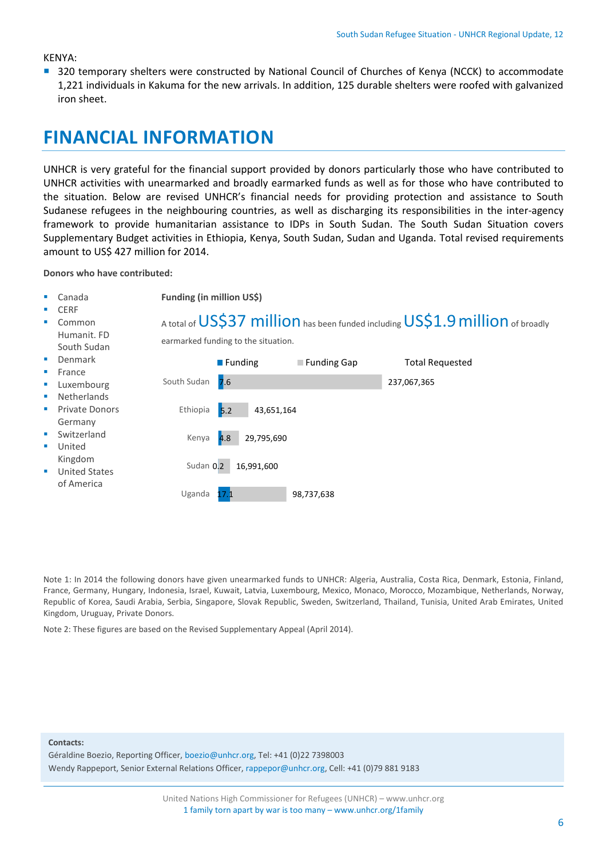#### KENYA:

■ 320 temporary shelters were constructed by National Council of Churches of Kenya (NCCK) to accommodate 1,221 individuals in Kakuma for the new arrivals. In addition, 125 durable shelters were roofed with galvanized iron sheet.

## **FINANCIAL INFORMATION**

UNHCR is very grateful for the financial support provided by donors particularly those who have contributed to UNHCR activities with unearmarked and broadly earmarked funds as well as for those who have contributed to the situation. Below are revised UNHCR's financial needs for providing protection and assistance to South Sudanese refugees in the neighbouring countries, as well as discharging its responsibilities in the inter-agency framework to provide humanitarian assistance to IDPs in South Sudan. The South Sudan Situation covers Supplementary Budget activities in Ethiopia, Kenya, South Sudan, Sudan and Uganda. Total revised requirements amount to US\$ 427 million for 2014.

**Donors who have contributed:**

 Canada **CERE**  Common Humanit. FD South Sudan Denmark France Luxembourg Netherlands Private Donors Germany Switzerland United Kingdom United States of America **Funding (in million US\$)** A total of US\$37 million has been funded including US\$1.9 million of broadly earmarked funding to the situation. 7.6  $\mathsf{R}$ 4.8 Sudan 0.2 17.1 237,067,365 43,651,164 29,795,690 16,991,600 98,737,638 South Sudan Ethiopia Kenya Uganda **Funding Funding Gap** Total Requested

Note 1: In 2014 the following donors have given unearmarked funds to UNHCR: Algeria, Australia, Costa Rica, Denmark, Estonia, Finland, France, Germany, Hungary, Indonesia, Israel, Kuwait, Latvia, Luxembourg, Mexico, Monaco, Morocco, Mozambique, Netherlands, Norway, Republic of Korea, Saudi Arabia, Serbia, Singapore, Slovak Republic, Sweden, Switzerland, Thailand, Tunisia, United Arab Emirates, United Kingdom, Uruguay, Private Donors.

Note 2: These figures are based on the Revised Supplementary Appeal (April 2014).

#### **Contacts:**

Géraldine Boezio, Reporting Officer, boezio@unhcr.org, Tel: +41 (0)22 7398003 Wendy Rappeport, Senior External Relations Officer, rappepor@unhcr.org, Cell: +41 (0)79 881 9183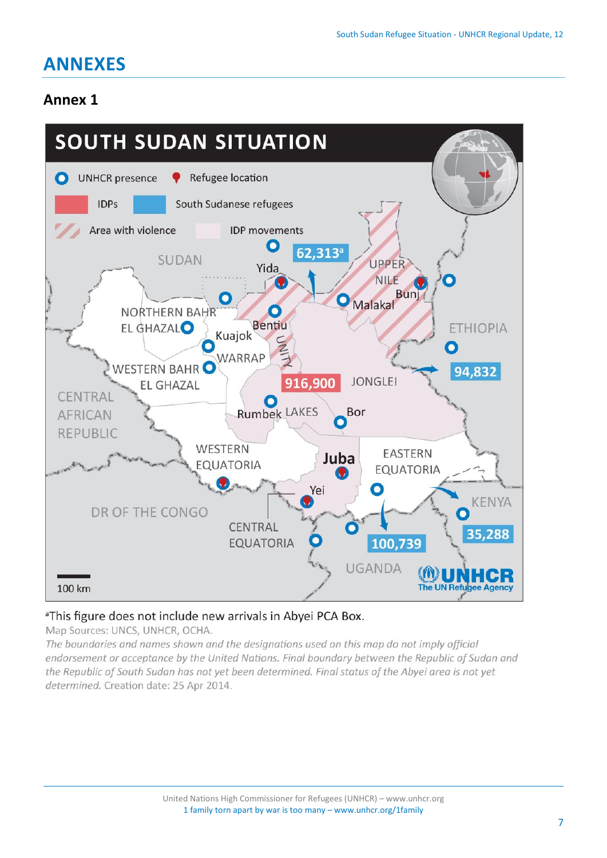# **ANNEXES**

### **Annex 1**



#### <sup>a</sup>This figure does not include new arrivals in Abyei PCA Box.

Map Sources: UNCS, UNHCR, OCHA.

The boundaries and names shown and the designations used on this map do not imply official endorsement or acceptance by the United Nations. Final boundary between the Republic of Sudan and the Republic of South Sudan has not yet been determined. Final status of the Abyei area is not yet determined. Creation date: 25 Apr 2014.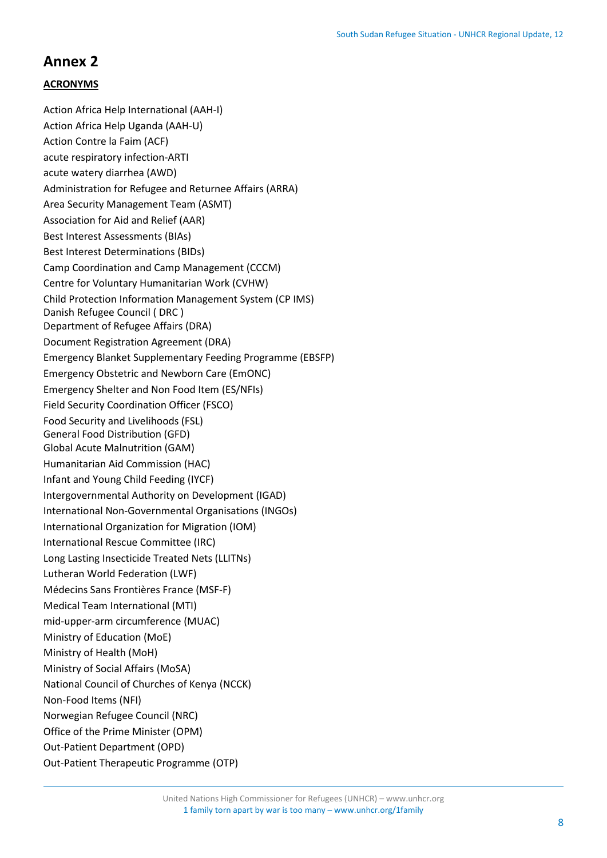### **Annex 2**

#### **ACRONYMS**

Action Africa Help International (AAH-I) Action Africa Help Uganda (AAH-U) Action Contre la Faim (ACF) acute respiratory infection-ARTI acute watery diarrhea (AWD) Administration for Refugee and Returnee Affairs (ARRA) Area Security Management Team (ASMT) Association for Aid and Relief (AAR) Best Interest Assessments (BIAs) Best Interest Determinations (BIDs) Camp Coordination and Camp Management (CCCM) Centre for Voluntary Humanitarian Work (CVHW) Child Protection Information Management System (CP IMS) Danish Refugee Council ( DRC ) Department of Refugee Affairs (DRA) Document Registration Agreement (DRA) Emergency Blanket Supplementary Feeding Programme (EBSFP) Emergency Obstetric and Newborn Care (EmONC) Emergency Shelter and Non Food Item (ES/NFIs) Field Security Coordination Officer (FSCO) Food Security and Livelihoods (FSL) General Food Distribution (GFD) Global Acute Malnutrition (GAM) Humanitarian Aid Commission (HAC) Infant and Young Child Feeding (IYCF) Intergovernmental Authority on Development (IGAD) International Non-Governmental Organisations (INGOs) International Organization for Migration (IOM) International Rescue Committee (IRC) Long Lasting Insecticide Treated Nets (LLITNs) Lutheran World Federation (LWF) Médecins Sans Frontières France (MSF-F) Medical Team International (MTI) mid-upper-arm circumference (MUAC) Ministry of Education (MoE) Ministry of Health (MoH) Ministry of Social Affairs (MoSA) National Council of Churches of Kenya (NCCK) Non-Food Items (NFI) Norwegian Refugee Council (NRC) Office of the Prime Minister (OPM) Out-Patient Department (OPD) Out-Patient Therapeutic Programme (OTP)